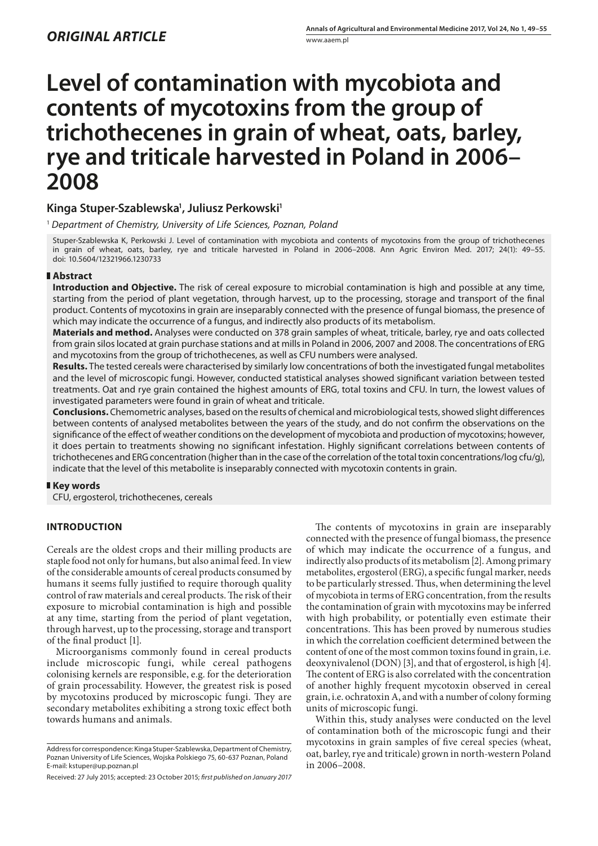# **Level of contamination with mycobiota and contents of mycotoxins from the group of trichothecenes in grain of wheat, oats, barley, rye and triticale harvested in Poland in 2006– 2008**

# Kinga Stuper-Szablewska<sup>1</sup>, Juliusz Perkowski<sup>1</sup>

<sup>1</sup> *Department of Chemistry, University of Life Sciences, Poznan, Poland*

Stuper-Szablewska K, Perkowski J. Level of contamination with mycobiota and contents of mycotoxins from the group of trichothecenes in grain of wheat, oats, barley, rye and triticale harvested in Poland in 2006–2008. Ann Agric Environ Med. 2017; 24(1): 49–55. doi: 10.5604/12321966.1230733

# **Abstract**

**Introduction and Objective.** The risk of cereal exposure to microbial contamination is high and possible at any time, starting from the period of plant vegetation, through harvest, up to the processing, storage and transport of the final product. Contents of mycotoxins in grain are inseparably connected with the presence of fungal biomass, the presence of which may indicate the occurrence of a fungus, and indirectly also products of its metabolism.

**Materials and method.** Analyses were conducted on 378 grain samples of wheat, triticale, barley, rye and oats collected from grain silos located at grain purchase stations and at mills in Poland in 2006, 2007 and 2008. The concentrations of ERG and mycotoxins from the group of trichothecenes, as well as CFU numbers were analysed.

**Results.** The tested cereals were characterised by similarly low concentrations of both the investigated fungal metabolites and the level of microscopic fungi. However, conducted statistical analyses showed significant variation between tested treatments. Oat and rye grain contained the highest amounts of ERG, total toxins and CFU. In turn, the lowest values of investigated parameters were found in grain of wheat and triticale.

**Conclusions.** Chemometric analyses, based on the results of chemical and microbiological tests, showed slight differences between contents of analysed metabolites between the years of the study, and do not confirm the observations on the significance of the effect of weather conditions on the development of mycobiota and production of mycotoxins; however, it does pertain to treatments showing no significant infestation. Highly significant correlations between contents of trichothecenes and ERG concentration (higher than in the case of the correlation of the total toxin concentrations/log cfu/g), indicate that the level of this metabolite is inseparably connected with mycotoxin contents in grain.

# **Key words**

CFU, ergosterol, trichothecenes, cereals

# **INTRODUCTION**

Cereals are the oldest crops and their milling products are staple food not only for humans, but also animal feed. In view of the considerable amounts of cereal products consumed by humans it seems fully justified to require thorough quality control of raw materials and cereal products. The risk of their exposure to microbial contamination is high and possible at any time, starting from the period of plant vegetation, through harvest, up to the processing, storage and transport of the final product [1].

Microorganisms commonly found in cereal products include microscopic fungi, while cereal pathogens colonising kernels are responsible, e.g. for the deterioration of grain processability. However, the greatest risk is posed by mycotoxins produced by microscopic fungi. They are secondary metabolites exhibiting a strong toxic effect both towards humans and animals.

The contents of mycotoxins in grain are inseparably connected with the presence of fungal biomass, the presence of which may indicate the occurrence of a fungus, and indirectly also products of its metabolism [2]. Among primary metabolites, ergosterol (ERG), a specific fungal marker, needs to be particularly stressed. Thus, when determining the level of mycobiota in terms of ERG concentration, from the results the contamination of grain with mycotoxins may be inferred with high probability, or potentially even estimate their concentrations. This has been proved by numerous studies in which the correlation coefficient determined between the content of one of the most common toxins found in grain, i.e. deoxynivalenol (DON) [3], and that of ergosterol, is high [4]. The content of ERG is also correlated with the concentration of another highly frequent mycotoxin observed in cereal grain, i.e. ochratoxin A, and with a number of colony forming units of microscopic fungi.

Within this, study analyses were conducted on the level of contamination both of the microscopic fungi and their mycotoxins in grain samples of five cereal species (wheat, oat, barley, rye and triticale) grown in north-western Poland in 2006–2008.

Address for correspondence: Kinga Stuper-Szablewska, Department of Chemistry, Poznan University of Life Sciences, Wojska Polskiego 75, 60-637 Poznan, Poland E-mail: kstuper@up.poznan.pl

Received: 27 July 2015; accepted: 23 October 2015; *first published on January 2017*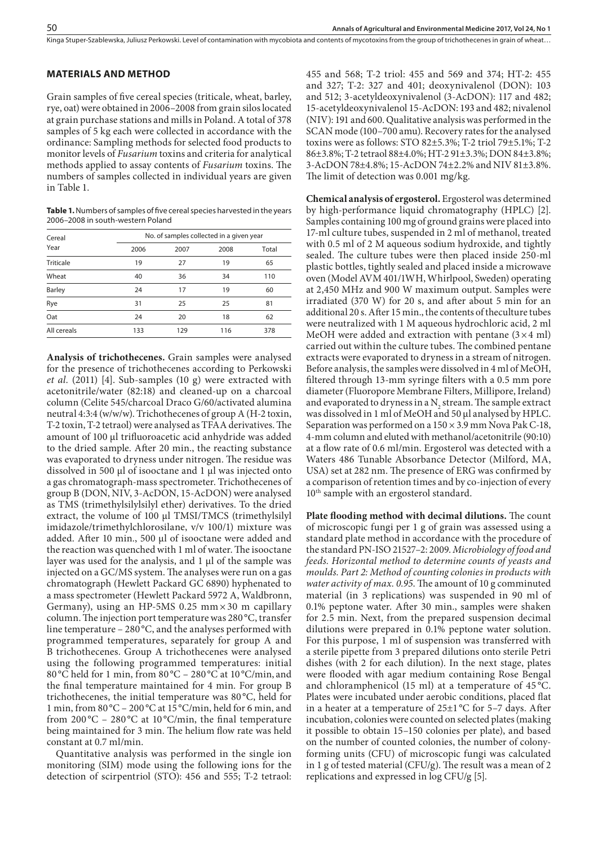Kinga Stuper-Szablewska, Juliusz Perkowski. Level of contamination with mycobiota and contents of mycotoxins from the group of trichothecenes in grain of wheat...

# **MATERIALS AND METHOD**

Grain samples of five cereal species (triticale, wheat, barley, rye, oat) were obtained in 2006–2008 from grain silos located at grain purchase stations and mills in Poland. A total of 378 samples of 5 kg each were collected in accordance with the ordinance: Sampling methods for selected food products to monitor levels of *Fusarium* toxins and criteria for analytical methods applied to assay contents of *Fusarium* toxins. The numbers of samples collected in individual years are given in Table 1.

**Table 1.** Numbers of samples of five cereal species harvested in the years 2006–2008 in south-western Poland

| Cereal           | No. of samples collected in a given year |      |      |       |  |  |  |  |  |
|------------------|------------------------------------------|------|------|-------|--|--|--|--|--|
| Year             | 2006                                     | 2007 | 2008 | Total |  |  |  |  |  |
| <b>Triticale</b> | 19                                       | 27   | 19   | 65    |  |  |  |  |  |
| Wheat            | 40                                       | 36   | 34   | 110   |  |  |  |  |  |
| <b>Barley</b>    | 24                                       | 17   | 19   | 60    |  |  |  |  |  |
| Rye              | 31                                       | 25   | 25   | 81    |  |  |  |  |  |
| Oat              | 24                                       | 20   | 18   | 62    |  |  |  |  |  |
| All cereals      | 133                                      | 129  | 116  | 378   |  |  |  |  |  |

**Analysis of trichothecenes.** Grain samples were analysed for the presence of trichothecenes according to Perkowski *et al.* (2011) [4]. Sub-samples (10 g) were extracted with acetonitrile/water (82:18) and cleaned-up on a charcoal column (Celite 545/charcoal Draco G/60/activated alumina neutral 4:3:4 (w/w/w). Trichothecenes of group A (H-2 toxin, T-2 toxin, T-2 tetraol) were analysed as TFAA derivatives. The amount of 100 μl trifluoroacetic acid anhydride was added to the dried sample. After 20 min., the reacting substance was evaporated to dryness under nitrogen. The residue was dissolved in 500 μl of isooctane and 1 μl was injected onto a gas chromatograph-mass spectrometer. Trichothecenes of group B (DON, NIV, 3-AcDON, 15-AcDON) were analysed as TMS (trimethylsilylsilyl ether) derivatives. To the dried extract, the volume of 100 μl TMSI/TMCS (trimethylsilyl imidazole/trimethylchlorosilane, v/v 100/1) mixture was added. After 10 min., 500 μl of isooctane were added and the reaction was quenched with 1 ml of water. The isooctane layer was used for the analysis, and 1 μl of the sample was injected on a GC/MS system. The analyses were run on a gas chromatograph (Hewlett Packard GC 6890) hyphenated to a mass spectrometer (Hewlett Packard 5972 A, Waldbronn, Germany), using an HP-5MS 0.25  $mm \times 30$  m capillary column. The injection port temperature was 280 °C, transfer line temperature – 280 °C, and the analyses performed with programmed temperatures, separately for group A and B trichothecenes. Group A trichothecenes were analysed using the following programmed temperatures: initial 80 °C held for 1 min, from 80 °C – 280 °C at 10 °C/min, and the final temperature maintained for 4 min. For group B trichothecenes, the initial temperature was 80 °C, held for 1 min, from 80 °C – 200 °C at 15 °C/min, held for 6 min, and from  $200^{\circ}$ C –  $280^{\circ}$ C at  $10^{\circ}$ C/min, the final temperature being maintained for 3 min. The helium flow rate was held constant at 0.7 ml/min.

Quantitative analysis was performed in the single ion monitoring (SIM) mode using the following ions for the detection of scirpentriol (STO): 456 and 555; T-2 tetraol: 455 and 568; T-2 triol: 455 and 569 and 374; HT-2: 455 and 327; T-2: 327 and 401; deoxynivalenol (DON): 103 and 512; 3-acetyldeoxynivalenol (3-AcDON): 117 and 482; 15-acetyldeoxynivalenol 15-AcDON: 193 and 482; nivalenol (NIV): 191 and 600. Qualitative analysis was performed in the SCAN mode (100–700 amu). Recovery rates for the analysed toxins were as follows: STO 82±5.3%; T-2 triol 79±5.1%; T-2 86±3.8%; T-2 tetraol 88±4.0%; HT-2 91±3.3%; DON 84±3.8%; 3-AcDON 78±4.8%; 15-AcDON 74±2.2% and NIV 81±3.8%. The limit of detection was 0.001 mg/kg.

**Chemical analysis of ergosterol.** Ergosterol was determined by high-performance liquid chromatography (HPLC) [2]. Samples containing 100 mg of ground grains were placed into 17-ml culture tubes, suspended in 2 ml of methanol, treated with 0.5 ml of 2 M aqueous sodium hydroxide, and tightly sealed. The culture tubes were then placed inside 250-ml plastic bottles, tightly sealed and placed inside a microwave oven (Model AVM 401/1WH, Whirlpool, Sweden) operating at 2,450 MHz and 900 W maximum output. Samples were irradiated (370 W) for 20 s, and after about 5 min for an additional 20 s. After 15 min., the contents of theculture tubes were neutralized with 1 M aqueous hydrochloric acid, 2 ml MeOH were added and extraction with pentane  $(3 \times 4 \text{ ml})$ carried out within the culture tubes. The combined pentane extracts were evaporated to dryness in a stream of nitrogen. Before analysis, the samples were dissolved in 4 ml of MeOH, filtered through 13-mm syringe filters with a 0.5 mm pore diameter (Fluoropore Membrane Filters, Millipore, Ireland) and evaporated to dryness in a  $N_2$  stream. The sample extract was dissolved in 1 ml of MeOH and 50 µl analysed by HPLC. Separation was performed on a  $150 \times 3.9$  mm Nova Pak C-18, 4-mm column and eluted with methanol/acetonitrile (90:10) at a flow rate of 0.6 ml/min. Ergosterol was detected with a Waters 486 Tunable Absorbance Detector (Milford, MA, USA) set at 282 nm. The presence of ERG was confirmed by a comparison of retention times and by co-injection of every 10<sup>th</sup> sample with an ergosterol standard.

**Plate flooding method with decimal dilutions.** The count of microscopic fungi per 1 g of grain was assessed using a standard plate method in accordance with the procedure of the standard PN-ISO 21527–2: 2009. *Microbiology of food and feeds. Horizontal method to determine counts of yeasts and moulds. Part 2: Method of counting colonies in products with water activity of max. 0.95*. The amount of 10 g comminuted material (in 3 replications) was suspended in 90 ml of 0.1% peptone water. After 30 min., samples were shaken for 2.5 min. Next, from the prepared suspension decimal dilutions were prepared in 0.1% peptone water solution. For this purpose, 1 ml of suspension was transferred with a sterile pipette from 3 prepared dilutions onto sterile Petri dishes (with 2 for each dilution). In the next stage, plates were flooded with agar medium containing Rose Bengal and chloramphenicol (15 ml) at a temperature of 45 °C. Plates were incubated under aerobic conditions, placed flat in a heater at a temperature of 25±1 °C for 5–7 days. After incubation, colonies were counted on selected plates (making it possible to obtain 15–150 colonies per plate), and based on the number of counted colonies, the number of colonyforming units (CFU) of microscopic fungi was calculated in 1 g of tested material (CFU/g). The result was a mean of 2 replications and expressed in log CFU/g [5].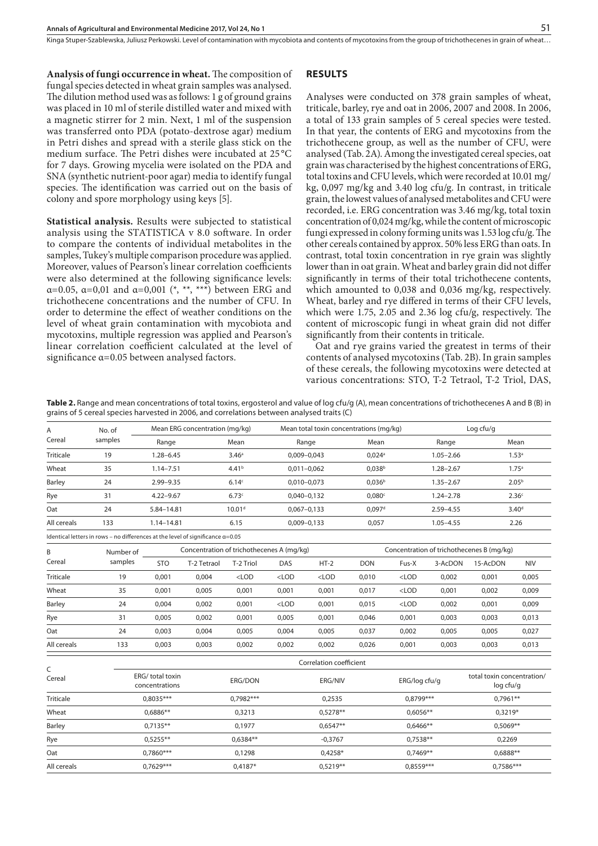Kinga Stuper-Szablewska, Juliusz Perkowski Level of contamination with mycobiota and contents of mycotoxins from the group of trichothecenes in grain of wheat...

**Analysis of fungi occurrence in wheat.** The composition of fungal species detected in wheat grain samples was analysed. The dilution method used was as follows: 1 g of ground grains was placed in 10 ml of sterile distilled water and mixed with a magnetic stirrer for 2 min. Next, 1 ml of the suspension was transferred onto PDA (potato-dextrose agar) medium in Petri dishes and spread with a sterile glass stick on the medium surface. The Petri dishes were incubated at 25 °C for 7 days. Growing mycelia were isolated on the PDA and SNA (synthetic nutrient-poor agar) media to identify fungal species. The identification was carried out on the basis of colony and spore morphology using keys [5].

**Statistical analysis.** Results were subjected to statistical analysis using the STATISTICA v 8.0 software. In order to compare the contents of individual metabolites in the samples, Tukey's multiple comparison procedure was applied. Moreover, values of Pearson's linear correlation coefficients were also determined at the following significance levels: α=0.05, α=0,01 and α=0,001 (\*, \*\*, \*\*\*) between ERG and trichothecene concentrations and the number of CFU. In order to determine the effect of weather conditions on the level of wheat grain contamination with mycobiota and mycotoxins, multiple regression was applied and Pearson's linear correlation coefficient calculated at the level of significance α=0.05 between analysed factors.

#### **RESULTS**

Analyses were conducted on 378 grain samples of wheat, triticale, barley, rye and oat in 2006, 2007 and 2008. In 2006, a total of 133 grain samples of 5 cereal species were tested. In that year, the contents of ERG and mycotoxins from the trichothecene group, as well as the number of CFU, were analysed (Tab. 2A). Among the investigated cereal species, oat grain was characterised by the highest concentrations of ERG, total toxins and CFU levels, which were recorded at 10.01 mg/ kg, 0,097 mg/kg and 3.40 log cfu/g. In contrast, in triticale grain, the lowest values of analysed metabolites and CFU were recorded, i.e. ERG concentration was 3.46 mg/kg, total toxin concentration of 0,024 mg/kg, while the content of microscopic fungi expressed in colony forming units was 1.53 log cfu/g. The other cereals contained by approx. 50% less ERG than oats. In contrast, total toxin concentration in rye grain was slightly lower than in oat grain. Wheat and barley grain did not differ significantly in terms of their total trichothecene contents, which amounted to 0,038 and 0,036 mg/kg, respectively. Wheat, barley and rye differed in terms of their CFU levels, which were 1.75, 2.05 and 2.36 log cfu/g, respectively. The content of microscopic fungi in wheat grain did not differ significantly from their contents in triticale.

Oat and rye grains varied the greatest in terms of their contents of analysed mycotoxins (Tab. 2B). In grain samples of these cereals, the following mycotoxins were detected at various concentrations: STO, T-2 Tetraol, T-2 Triol, DAS,

**Table 2.** Range and mean concentrations of total toxins, ergosterol and value of log cfu/g (A), mean concentrations of trichothecenes A and B (B) in grains of 5 cereal species harvested in 2006, and correlations between analysed traits (C)

Mean ERG concentration (mg/kg) Mean total toxin concentrations (mg/kg) Log cfu/g

| Α                | No. of                                                                                 | Mean ERG concentration (mg/kg) |                                           |                      |                 | iviean total toxin concentrations (mg/kg) |                      |                                           |                                         | Log cru/g         |                   |  |  |
|------------------|----------------------------------------------------------------------------------------|--------------------------------|-------------------------------------------|----------------------|-----------------|-------------------------------------------|----------------------|-------------------------------------------|-----------------------------------------|-------------------|-------------------|--|--|
| Cereal           | samples                                                                                | Range                          |                                           | Mean                 |                 | Range                                     | Mean                 |                                           | Range                                   |                   | Mean              |  |  |
| <b>Triticale</b> | 19                                                                                     | $1.28 - 6.45$                  |                                           | 3.46 <sup>a</sup>    | $0.009 - 0.043$ |                                           | $0,024$ <sup>a</sup> |                                           | $1.05 - 2.66$                           |                   | 1.53 <sup>a</sup> |  |  |
| Wheat            | 35                                                                                     | $1.14 - 7.51$                  |                                           | 4.41 <sup>b</sup>    | $0,011 - 0,062$ |                                           | $0,038^{b}$          |                                           | $1.28 - 2.67$                           |                   | 1.75 <sup>a</sup> |  |  |
| Barley           | 24                                                                                     | 2.99-9.35                      |                                           | 6.14 <sup>c</sup>    |                 | $0,010 - 0,073$                           | 0,036 <sup>b</sup>   |                                           | $1.35 - 2.67$                           |                   | 2.05 <sup>b</sup> |  |  |
| Rye              | 31                                                                                     | $4.22 - 9.67$                  |                                           | 6.73c                | $0,040 - 0,132$ |                                           | $0,080$ c            |                                           | $1.24 - 2.78$                           | 2.36 <sup>c</sup> |                   |  |  |
| Oat              | 24                                                                                     | 5.84-14.81                     |                                           | 10.01 <sup>d</sup>   | $0,067 - 0,133$ |                                           | 0.097 <sup>d</sup>   |                                           | $2.59 - 4.55$                           | 3.40 <sup>d</sup> |                   |  |  |
| All cereals      | 133                                                                                    | 1.14-14.81                     |                                           | 6.15                 | $0,009 - 0,133$ |                                           | 0,057                |                                           | $1.05 - 4.55$                           |                   | 2.26              |  |  |
|                  | Identical letters in rows - no differences at the level of significance $\alpha$ =0.05 |                                |                                           |                      |                 |                                           |                      |                                           |                                         |                   |                   |  |  |
| B                | Number of                                                                              |                                | Concentration of trichothecenes A (mq/kq) |                      |                 |                                           |                      | Concentration of trichothecenes B (mg/kg) |                                         |                   |                   |  |  |
| Cereal           | samples                                                                                | <b>STO</b>                     | T-2 Tetraol                               | T-2 Triol            | DAS             | $HT-2$                                    | <b>DON</b>           | Fus-X                                     | 3-AcDON                                 | 15-AcDON          | <b>NIV</b>        |  |  |
| Triticale        | 19                                                                                     | 0,001                          | 0.004                                     | $<$ LOD              | $<$ LOD         | $<$ LOD                                   | 0,010                | $<$ LOD                                   | 0,002                                   | 0,001             | 0,005             |  |  |
| Wheat            | 35                                                                                     | 0,001                          | 0,005                                     | 0,001                | 0,001           | 0,001                                     | 0,017                | $<$ LOD                                   | 0,001                                   | 0,002             | 0,009             |  |  |
| Barley           | 24                                                                                     | 0,004                          | 0,002                                     | 0,001                | $<$ LOD         | 0,001                                     | 0,015                | $<$ LOD                                   | 0,002                                   | 0,001             | 0,009             |  |  |
| Rye              | 31                                                                                     | 0,005                          | 0,002                                     | 0,001                | 0,005           | 0,001                                     | 0,046                | 0,001                                     | 0,003                                   | 0,003             | 0,013             |  |  |
| Oat              | 24                                                                                     | 0,003                          | 0,004                                     | 0,005                | 0,004           | 0,005                                     | 0,037                | 0,002                                     | 0,005                                   | 0,005             | 0,027             |  |  |
| All cereals      | 133                                                                                    | 0,003                          | 0,003                                     | 0,002                | 0,002           | 0,002                                     | 0,026                | 0,001                                     | 0,003                                   | 0,003             | 0,013             |  |  |
|                  |                                                                                        |                                |                                           |                      |                 | Correlation coefficient                   |                      |                                           |                                         |                   |                   |  |  |
| C<br>Cereal      | ERG/ total toxin<br>concentrations                                                     |                                |                                           | ERG/DON<br>ERG/NIV   |                 |                                           | ERG/log cfu/g        |                                           | total toxin concentration/<br>log cfu/g |                   |                   |  |  |
| Triticale        |                                                                                        | $0.8035***$                    |                                           | $0.7982***$          |                 | 0,2535                                    |                      | $0.8799***$                               |                                         | $0.7961**$        |                   |  |  |
| Wheat            |                                                                                        | $0.6886**$                     |                                           | 0,3213               |                 | $0.5278**$                                | $0.6056**$           |                                           |                                         | $0.3219*$         |                   |  |  |
| Barley           | $0,7135**$                                                                             |                                |                                           | $0,6547**$<br>0,1977 |                 | $0,6466**$                                |                      |                                           | $0,5069**$                              |                   |                   |  |  |
| Rye              |                                                                                        | $0.5255***$                    |                                           | $0.6384**$           | $-0,3767$       |                                           | $0,7538**$           |                                           |                                         | 0,2269            |                   |  |  |
| Oat              |                                                                                        | $0.7860***$                    |                                           | 0,1298               |                 | $0,4258*$                                 |                      | $0.7469**$                                |                                         | $0,6888**$        |                   |  |  |
| All cereals      | $0.7629***$                                                                            |                                |                                           | $0.4187*$            |                 | $0.5219**$                                | $0.8559***$          |                                           |                                         | $0.7586***$       |                   |  |  |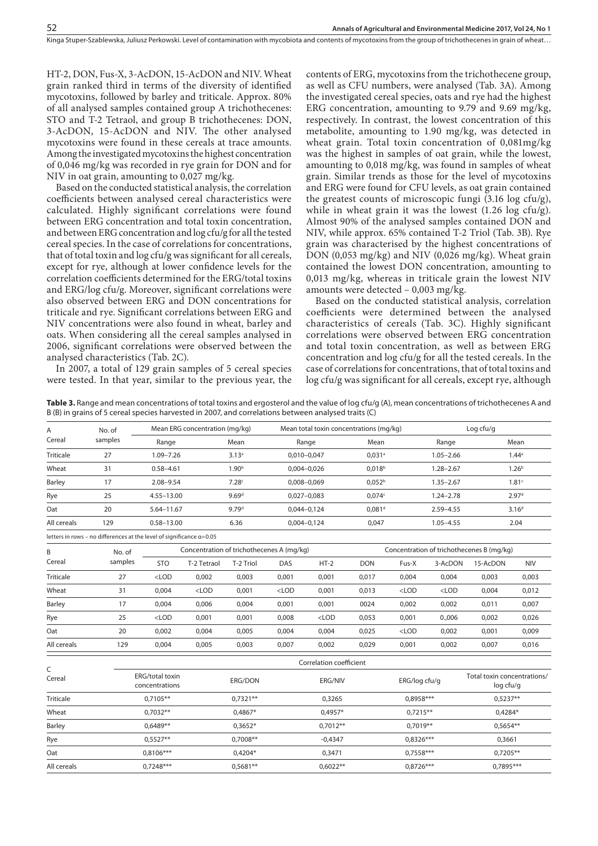Kinga Stuper-Szablewska, Juliusz Perkowski. Level of contamination with mycobiota and contents of mycotoxins from the group of trichothecenes in grain of wheat...

HT-2, DON, Fus-X, 3-AcDON, 15-AcDON and NIV. Wheat grain ranked third in terms of the diversity of identified mycotoxins, followed by barley and triticale. Approx. 80% of all analysed samples contained group A trichothecenes: STO and T-2 Tetraol, and group B trichothecenes: DON, 3-AcDON, 15-AcDON and NIV. The other analysed mycotoxins were found in these cereals at trace amounts. Among the investigated mycotoxins the highest concentration of 0,046 mg/kg was recorded in rye grain for DON and for NIV in oat grain, amounting to 0,027 mg/kg.

Based on the conducted statistical analysis, the correlation coefficients between analysed cereal characteristics were calculated. Highly significant correlations were found between ERG concentration and total toxin concentration, and between ERG concentration and log cfu/g for all the tested cereal species. In the case of correlations for concentrations, that of total toxin and log cfu/g was significant for all cereals, except for rye, although at lower confidence levels for the correlation coefficients determined for the ERG/total toxins and ERG/log cfu/g. Moreover, significant correlations were also observed between ERG and DON concentrations for triticale and rye. Significant correlations between ERG and NIV concentrations were also found in wheat, barley and oats. When considering all the cereal samples analysed in 2006, significant correlations were observed between the analysed characteristics (Tab. 2C).

In 2007, a total of 129 grain samples of 5 cereal species were tested. In that year, similar to the previous year, the contents of ERG, mycotoxins from the trichothecene group, as well as CFU numbers, were analysed (Tab. 3A). Among the investigated cereal species, oats and rye had the highest ERG concentration, amounting to 9.79 and 9.69 mg/kg, respectively. In contrast, the lowest concentration of this metabolite, amounting to 1.90 mg/kg, was detected in wheat grain. Total toxin concentration of 0,081mg/kg was the highest in samples of oat grain, while the lowest, amounting to 0,018 mg/kg, was found in samples of wheat grain. Similar trends as those for the level of mycotoxins and ERG were found for CFU levels, as oat grain contained the greatest counts of microscopic fungi (3.16 log cfu/g), while in wheat grain it was the lowest (1.26 log cfu/g). Almost 90% of the analysed samples contained DON and NIV, while approx. 65% contained T-2 Triol (Tab. 3B). Rye grain was characterised by the highest concentrations of DON (0,053 mg/kg) and NIV (0,026 mg/kg). Wheat grain contained the lowest DON concentration, amounting to 0,013 mg/kg, whereas in triticale grain the lowest NIV amounts were detected – 0,003 mg/kg.

Based on the conducted statistical analysis, correlation coefficients were determined between the analysed characteristics of cereals (Tab. 3C). Highly significant correlations were observed between ERG concentration and total toxin concentration, as well as between ERG concentration and log cfu/g for all the tested cereals. In the case of correlations for concentrations, that of total toxins and log cfu/g was significant for all cereals, except rye, although

**Table 3.** Range and mean concentrations of total toxins and ergosterol and the value of log cfu/g (A), mean concentrations of trichothecenes A and B (B) in grains of 5 cereal species harvested in 2007, and correlations between analysed traits (C)

| Α           | No. of                                                                        | Mean ERG concentration (mg/kg)                      |             |                                           |                 |                         | Mean total toxin concentrations (mg/kg)   |               | Log cfu/g     |                                          |                   |  |
|-------------|-------------------------------------------------------------------------------|-----------------------------------------------------|-------------|-------------------------------------------|-----------------|-------------------------|-------------------------------------------|---------------|---------------|------------------------------------------|-------------------|--|
| Cereal      | samples                                                                       | Range                                               |             | Mean                                      | Range           |                         | Mean                                      |               | Range         |                                          | Mean              |  |
| Triticale   | 27                                                                            | $1.09 - 7.26$                                       |             | 3.13 <sup>a</sup>                         | $0,010 - 0,047$ |                         | $0,031$ <sup>a</sup>                      |               | $1.05 - 2.66$ |                                          | 1.44 <sup>a</sup> |  |
| Wheat       | 31                                                                            | $0.58 - 4.61$                                       |             | 1.90 <sup>b</sup>                         | $0,004 - 0,026$ |                         | 0,018 <sup>b</sup>                        |               | $1.28 - 2.67$ |                                          | 1.26 <sup>b</sup> |  |
| Barley      | 17                                                                            | $2.08 - 9.54$                                       |             | 7.28c                                     | $0,008 - 0,069$ |                         | 0.052 <sup>b</sup>                        |               | $1.35 - 2.67$ |                                          | 1.81 <sup>c</sup> |  |
| Rye         | 25                                                                            | $4.55 - 13.00$                                      |             | 9.69 <sup>d</sup>                         | $0,027-0,083$   |                         | 0.074c                                    | $1.24 - 2.78$ |               | 2.97 <sup>d</sup>                        |                   |  |
| Oat         | 20                                                                            | $5.64 - 11.67$                                      |             | 9.79 <sup>d</sup>                         | $0,044 - 0,124$ |                         | 0.081 <sup>d</sup>                        |               | $2.59 - 4.55$ | 3.16 <sup>d</sup>                        |                   |  |
| All cereals | 129                                                                           | $0.58 - 13.00$                                      |             | 6.36                                      | $0,004 - 0,124$ |                         | 0,047                                     |               | $1.05 - 4.55$ |                                          | 2.04              |  |
|             | letters in rows - no differences at the level of significance $\alpha = 0.05$ |                                                     |             |                                           |                 |                         |                                           |               |               |                                          |                   |  |
| B           | No. of                                                                        |                                                     |             | Concentration of trichothecenes A (mq/kq) |                 |                         | Concentration of trichothecenes B (mq/kq) |               |               |                                          |                   |  |
| Cereal      | samples                                                                       | <b>STO</b>                                          | T-2 Tetraol | T-2 Triol                                 | DAS             | $HT-2$                  | <b>DON</b>                                | Fus-X         | 3-AcDON       | 15-AcDON                                 | <b>NIV</b>        |  |
| Triticale   | 27                                                                            | $<$ LOD                                             | 0,002       | 0,003                                     | 0,001           | 0,001                   | 0,017                                     | 0,004         | 0,004         | 0,003                                    | 0,003             |  |
| Wheat       | 31                                                                            | 0,004                                               | $<$ LOD     | 0,001                                     | $<$ LOD         | 0,001                   | 0,013                                     | $<$ LOD       | $<$ LOD       | 0,004                                    | 0,012             |  |
| Barley      | 17                                                                            | 0,004                                               | 0,006       | 0,004                                     | 0,001           | 0,001                   | 0024                                      | 0,002         | 0,002         | 0,011                                    | 0,007             |  |
| Rye         | 25                                                                            | $<$ LOD                                             | 0,001       | 0,001                                     | 0,008           | $<$ LOD                 | 0,053                                     | 0,001         | 0.,006        | 0,002                                    | 0,026             |  |
| Oat         | 20                                                                            | 0,002                                               | 0,004       | 0,005                                     | 0,004           | 0,004                   | 0,025                                     | $<$ LOD       | 0,002         | 0,001                                    | 0,009             |  |
| All cereals | 129                                                                           | 0,004                                               | 0,005       | 0,003                                     | 0,007           | 0,002                   | 0,029                                     | 0,001         | 0,002         | 0,007                                    | 0,016             |  |
|             |                                                                               |                                                     |             |                                           |                 | Correlation coefficient |                                           |               |               |                                          |                   |  |
| C<br>Cereal |                                                                               | <b>ERG/total toxin</b><br>ERG/DON<br>concentrations |             |                                           |                 | ERG/NIV                 |                                           | ERG/log cfu/g |               | Total toxin concentrations/<br>log cfu/g |                   |  |
| Triticale   |                                                                               | $0,7105***$                                         |             | $0,7321**$                                |                 | 0,3265                  |                                           | 0,8958***     |               | $0.5237**$                               |                   |  |
| Wheat       |                                                                               | $0.7032**$                                          |             | 0,4867*                                   |                 | $0,4957*$               |                                           | $0,7215**$    |               | 0,4284*                                  |                   |  |
| Barley      |                                                                               | $0,6489**$                                          |             | $0,3652*$                                 | $0,7012**$      |                         | $0,7019**$                                |               |               | $0,5654**$                               |                   |  |
| Rye         |                                                                               | $0.5527**$                                          |             | $0.7008**$                                | $-0,4347$       |                         | $0,8326***$                               |               |               | 0,3661                                   |                   |  |
| Oat         |                                                                               | $0,8106***$                                         |             | $0,4204*$                                 |                 | 0,3471                  |                                           | $0,7558***$   |               | $0,7205**$                               |                   |  |
| All cereals |                                                                               | $0,7248***$                                         |             | $0,5681**$                                | $0,6022**$      |                         | $0,8726***$                               |               |               | 0,7895***                                |                   |  |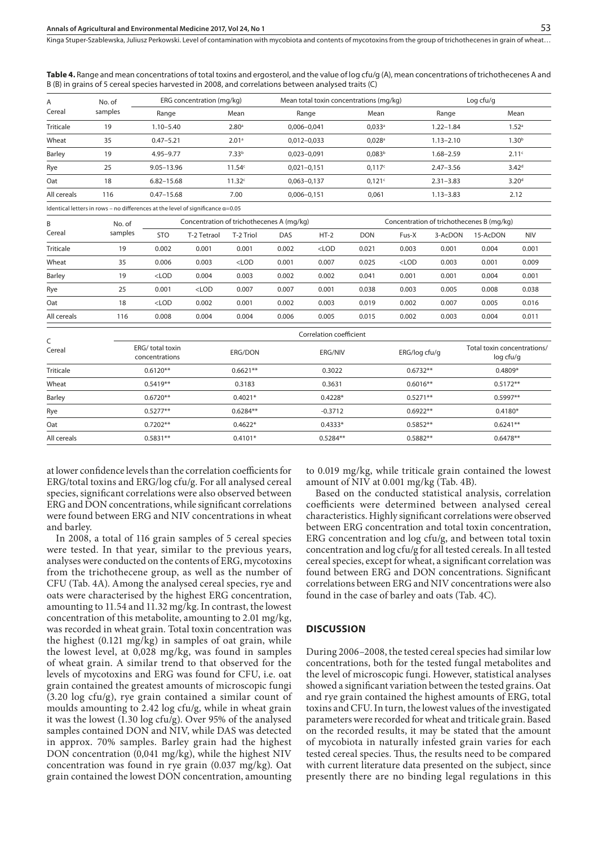Kinga Stuper-Szablewska, Juliusz Perkowski Level of contamination with mycobiota and contents of mycotoxins from the group of trichothecenes in grain of wheat...

**Table 4.** Range and mean concentrations of total toxins and ergosterol, and the value of log cfu/g (A), mean concentrations of trichothecenes A and B (B) in grains of 5 cereal species harvested in 2008, and correlations between analysed traits (C)

| A<br>No. of<br>samples<br>Cereal                                                        |         | ERG concentration (mg/kg)                 |                   | Mean total toxin concentrations (mg/kg) |                                           | Log cfu/g         |                   |  |  |
|-----------------------------------------------------------------------------------------|---------|-------------------------------------------|-------------------|-----------------------------------------|-------------------------------------------|-------------------|-------------------|--|--|
|                                                                                         |         | Range                                     | Mean              | Range                                   | Mean                                      | Range             | Mean              |  |  |
| <b>Triticale</b>                                                                        | 19      | $1.10 - 5.40$                             | 2.80 <sup>a</sup> | $0,006 - 0,041$                         | $0,033$ <sup>a</sup>                      | $1.22 - 1.84$     | 1.52 <sup>a</sup> |  |  |
| Wheat                                                                                   | 35      | $0.47 - 5.21$                             | 2.01 <sup>a</sup> | $0,012-0,033$                           | $0,028$ <sup>a</sup>                      | $1.13 - 2.10$     | 1.30 <sup>b</sup> |  |  |
| Barley                                                                                  | 19      | $4.95 - 9.77$                             | 7.33 <sup>b</sup> | $0.023 - 0.091$                         | 0,083 <sup>b</sup>                        | $1.68 - 2.59$     | 2.11 <sup>c</sup> |  |  |
| Rye                                                                                     | 25      | $9.05 - 13.96$                            | 11.54c            | $0,021-0,151$                           | 0,117c                                    | $2.47 - 3.56$     | 3.42 <sup>d</sup> |  |  |
| Oat                                                                                     | 18      | $6.82 - 15.68$                            | 11.32c            | $0,063 - 0,137$                         | 0,121c                                    | $2.31 - 3.83$     | 3.20 <sup>d</sup> |  |  |
| All cereals                                                                             | 116     | $0.47 - 15.68$                            | 7.00              | $0,006 - 0,151$                         | 0,061                                     | $1.13 - 3.83$     | 2.12              |  |  |
| Identical letters in rows – no differences at the level of significance $\alpha = 0.05$ |         |                                           |                   |                                         |                                           |                   |                   |  |  |
| B<br>No. of                                                                             |         | Concentration of trichothecenes A (mg/kg) |                   |                                         | Concentration of trichothecenes B (mg/kg) |                   |                   |  |  |
| Carasl                                                                                  | camples |                                           | ___ _ _ _ _ _ _   | $ -$                                    | ----                                      | -  - . -  . - . - |                   |  |  |

| Cereal           | samples | <b>STO</b> | T-2 Tetraol | T-2 Triol | DAS   | $HT-2$  | DON   | Fus-X   | 3-AcDON | 15-AcDON | <b>NIV</b> |
|------------------|---------|------------|-------------|-----------|-------|---------|-------|---------|---------|----------|------------|
| <b>Triticale</b> | 19      | 0.002      | 0.001       | 0.001     | 0.002 | $<$ LOD | 0.021 | 0.003   | 0.001   | 0.004    | 0.001      |
| Wheat            | 35      | 0.006      | 0.003       | $<$ LOD   | 0.001 | 0.007   | 0.025 | $<$ LOD | 0.003   | 0.001    | 0.009      |
| Barley           | 19      | $<$ LOD    | 0.004       | 0.003     | 0.002 | 0.002   | 0.041 | 0.001   | 0.001   | 0.004    | 0.001      |
| Rye              | 25      | 0.001      | $<$ LOD     | 0.007     | 0.007 | 0.001   | 0.038 | 0.003   | 0.005   | 0.008    | 0.038      |
| Oat              | 18      | $<$ LOD    | 0.002       | 0.001     | 0.002 | 0.003   | 0.019 | 0.002   | 0.007   | 0.005    | 0.016      |
| All cereals      | 116     | 0.008      | 0.004       | 0.004     | 0.006 | 0.005   | 0.015 | 0.002   | 0.003   | 0.004    | 0.011      |

| C<br>Cereal   | Correlation coefficient            |            |            |               |                                          |  |  |  |  |  |  |
|---------------|------------------------------------|------------|------------|---------------|------------------------------------------|--|--|--|--|--|--|
|               | ERG/ total toxin<br>concentrations | ERG/DON    | ERG/NIV    | ERG/log cfu/g | Total toxin concentrations/<br>log cfu/g |  |  |  |  |  |  |
| Triticale     | $0.6120**$                         | $0.6621**$ | 0.3022     | $0.6732**$    | $0.4809*$                                |  |  |  |  |  |  |
| Wheat         | $0.5419**$                         | 0.3183     | 0.3631     | $0.6016**$    | $0.5172**$                               |  |  |  |  |  |  |
| <b>Barley</b> | $0.6720**$                         | $0.4021*$  | $0.4228*$  | $0.5271**$    | $0.5997**$                               |  |  |  |  |  |  |
| Rye           | $0.5277**$                         | $0.6284**$ | $-0.3712$  | $0.6922**$    | $0.4180*$                                |  |  |  |  |  |  |
| Oat           | $0.7202**$                         | $0.4622*$  | $0.4333*$  | $0.5852**$    | $0.6241**$                               |  |  |  |  |  |  |
| All cereals   | $0.5831**$                         | $0.4101*$  | $0.5284**$ | $0.5882**$    | $0.6478**$                               |  |  |  |  |  |  |

at lower confidence levels than the correlation coefficients for ERG/total toxins and ERG/log cfu/g. For all analysed cereal species, significant correlations were also observed between ERG and DON concentrations, while significant correlations were found between ERG and NIV concentrations in wheat and barley.

In 2008, a total of 116 grain samples of 5 cereal species were tested. In that year, similar to the previous years, analyses were conducted on the contents of ERG, mycotoxins from the trichothecene group, as well as the number of CFU (Tab. 4A). Among the analysed cereal species, rye and oats were characterised by the highest ERG concentration, amounting to 11.54 and 11.32 mg/kg. In contrast, the lowest concentration of this metabolite, amounting to 2.01 mg/kg, was recorded in wheat grain. Total toxin concentration was the highest (0.121 mg/kg) in samples of oat grain, while the lowest level, at 0,028 mg/kg, was found in samples of wheat grain. A similar trend to that observed for the levels of mycotoxins and ERG was found for CFU, i.e. oat grain contained the greatest amounts of microscopic fungi (3.20 log cfu/g), rye grain contained a similar count of moulds amounting to 2.42 log cfu/g, while in wheat grain it was the lowest (1.30 log cfu/g). Over 95% of the analysed samples contained DON and NIV, while DAS was detected in approx. 70% samples. Barley grain had the highest DON concentration (0,041 mg/kg), while the highest NIV concentration was found in rye grain (0.037 mg/kg). Oat grain contained the lowest DON concentration, amounting

to 0.019 mg/kg, while triticale grain contained the lowest amount of NIV at 0.001 mg/kg (Tab. 4B).

Based on the conducted statistical analysis, correlation coefficients were determined between analysed cereal characteristics. Highly significant correlations were observed between ERG concentration and total toxin concentration, ERG concentration and log cfu/g, and between total toxin concentration and log cfu/g for all tested cereals. In all tested cereal species, except for wheat, a significant correlation was found between ERG and DON concentrations. Significant correlations between ERG and NIV concentrations were also found in the case of barley and oats (Tab. 4C).

#### **DISCUSSION**

During 2006–2008, the tested cereal species had similar low concentrations, both for the tested fungal metabolites and the level of microscopic fungi. However, statistical analyses showed a significant variation between the tested grains. Oat and rye grain contained the highest amounts of ERG, total toxins and CFU. In turn, the lowest values of the investigated parameters were recorded for wheat and triticale grain. Based on the recorded results, it may be stated that the amount of mycobiota in naturally infested grain varies for each tested cereal species. Thus, the results need to be compared with current literature data presented on the subject, since presently there are no binding legal regulations in this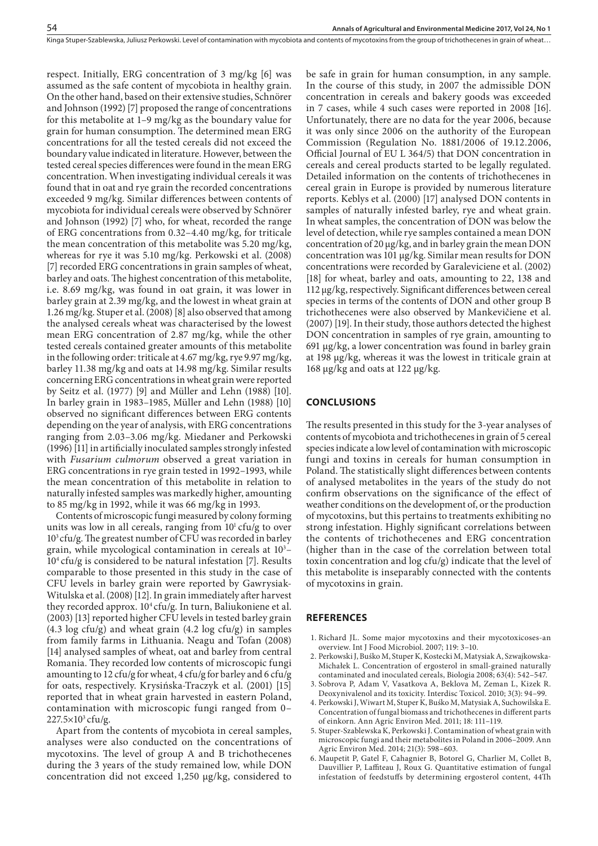respect. Initially, ERG concentration of 3 mg/kg [6] was assumed as the safe content of mycobiota in healthy grain. On the other hand, based on their extensive studies, Schnörer and Johnson (1992) [7] proposed the range of concentrations for this metabolite at 1–9 mg/kg as the boundary value for grain for human consumption. The determined mean ERG concentrations for all the tested cereals did not exceed the boundary value indicated in literature. However, between the tested cereal species differences were found in the mean ERG concentration. When investigating individual cereals it was found that in oat and rye grain the recorded concentrations exceeded 9 mg/kg. Similar differences between contents of mycobiota for individual cereals were observed by Schnörer and Johnson (1992) [7] who, for wheat, recorded the range of ERG concentrations from 0.32–4.40 mg/kg, for triticale the mean concentration of this metabolite was 5.20 mg/kg, whereas for rye it was 5.10 mg/kg. Perkowski et al. (2008) [7] recorded ERG concentrations in grain samples of wheat, barley and oats. The highest concentration of this metabolite, i.e. 8.69 mg/kg, was found in oat grain, it was lower in barley grain at 2.39 mg/kg, and the lowest in wheat grain at 1.26 mg/kg. Stuper et al. (2008) [8] also observed that among the analysed cereals wheat was characterised by the lowest mean ERG concentration of 2.87 mg/kg, while the other tested cereals contained greater amounts of this metabolite in the following order: triticale at 4.67 mg/kg, rye 9.97 mg/kg, barley 11.38 mg/kg and oats at 14.98 mg/kg. Similar results concerning ERG concentrations in wheat grain were reported by Seitz et al. (1977) [9] and Müller and Lehn (1988) [10]. In barley grain in 1983–1985, Müller and Lehn (1988) [10] observed no significant differences between ERG contents depending on the year of analysis, with ERG concentrations ranging from 2.03–3.06 mg/kg. Miedaner and Perkowski (1996) [11] in artificially inoculated samples strongly infested with *Fusarium culmorum* observed a great variation in ERG concentrations in rye grain tested in 1992–1993, while the mean concentration of this metabolite in relation to naturally infested samples was markedly higher, amounting to 85 mg/kg in 1992, while it was 66 mg/kg in 1993.

Contents of microscopic fungi measured by colony forming units was low in all cereals, ranging from  $10<sup>1</sup>$  cfu/g to over 103 cfu/g. The greatest number of CFU was recorded in barley grain, while mycological contamination in cereals at  $10^3 10<sup>4</sup>$  cfu/g is considered to be natural infestation [7]. Results comparable to those presented in this study in the case of CFU levels in barley grain were reported by Gawrysiak-Witulska et al. (2008) [12]. In grain immediately after harvest they recorded approx. 10<sup>4</sup> cfu/g. In turn, Baliukoniene et al. (2003) [13] reported higher CFU levels in tested barley grain (4.3 log cfu/g) and wheat grain (4.2 log cfu/g) in samples from family farms in Lithuania. Neagu and Tofan (2008) [14] analysed samples of wheat, oat and barley from central Romania. They recorded low contents of microscopic fungi amounting to 12 cfu/g for wheat, 4 cfu/g for barley and 6 cfu/g for oats, respectively. Krysińska-Traczyk et al. (2001) [15] reported that in wheat grain harvested in eastern Poland, contamination with microscopic fungi ranged from 0– 227.5×103 cfu/g.

Apart from the contents of mycobiota in cereal samples, analyses were also conducted on the concentrations of mycotoxins. The level of group A and B trichothecenes during the 3 years of the study remained low, while DON concentration did not exceed 1,250 µg/kg, considered to

be safe in grain for human consumption, in any sample. In the course of this study, in 2007 the admissible DON concentration in cereals and bakery goods was exceeded in 7 cases, while 4 such cases were reported in 2008 [16]. Unfortunately, there are no data for the year 2006, because it was only since 2006 on the authority of the European Commission (Regulation No. 1881/2006 of 19.12.2006, Official Journal of EU L 364/5) that DON concentration in cereals and cereal products started to be legally regulated. Detailed information on the contents of trichothecenes in cereal grain in Europe is provided by numerous literature reports. Keblys et al. (2000) [17] analysed DON contents in samples of naturally infested barley, rye and wheat grain. In wheat samples, the concentration of DON was below the level of detection, while rye samples contained a mean DON concentration of 20 µg/kg, and in barley grain the mean DON concentration was 101 µg/kg. Similar mean results for DON concentrations were recorded by Garaleviciene et al. (2002) [18] for wheat, barley and oats, amounting to 22, 138 and 112 µg/kg, respectively. Significant differences between cereal species in terms of the contents of DON and other group B trichothecenes were also observed by Mankevičiene et al. (2007) [19]. In their study, those authors detected the highest DON concentration in samples of rye grain, amounting to 691 µg/kg, a lower concentration was found in barley grain at 198 µg/kg, whereas it was the lowest in triticale grain at 168 µg/kg and oats at 122 µg/kg.

#### **CONCLUSIONS**

The results presented in this study for the 3-year analyses of contents of mycobiota and trichothecenes in grain of 5 cereal species indicate a low level of contamination with microscopic fungi and toxins in cereals for human consumption in Poland. The statistically slight differences between contents of analysed metabolites in the years of the study do not confirm observations on the significance of the effect of weather conditions on the development of, or the production of mycotoxins, but this pertains to treatments exhibiting no strong infestation. Highly significant correlations between the contents of trichothecenes and ERG concentration (higher than in the case of the correlation between total toxin concentration and log cfu/g) indicate that the level of this metabolite is inseparably connected with the contents of mycotoxins in grain.

#### **REFERENCES**

- 1. Richard JL. Some major mycotoxins and their mycotoxicoses-an overview. Int J Food Microbiol. 2007; 119: 3–10.
- 2. Perkowski J, Buśko M, Stuper K, Kostecki M, Matysiak A, Szwajkowska-Michałek L. Concentration of ergosterol in small-grained naturally contaminated and inoculated cereals, Biologia 2008; 63(4): 542–547.
- 3. Sobrova P, Adam V, Vasatkova A, Beklova M, Zeman L, Kizek R. Deoxynivalenol and its toxicity. Interdisc Toxicol. 2010; 3(3): 94–99.
- 4. Perkowski J, Wiwart M, Stuper K, Buśko M, Matysiak A, Suchowilska E. Concentration of fungal biomass and trichothecenes in different parts of einkorn. Ann Agric Environ Med. 2011; 18: 111–119.
- 5. Stuper-Szablewska K, Perkowski J. Contamination of wheat grain with microscopic fungi and their metabolites in Poland in 2006–2009. Ann Agric Environ Med. 2014; 21(3): 598–603.
- 6. Maupetit P, Gatel F, Cahagnier B, Botorel G, Charlier M, Collet B, Dauvillier P, Laffiteau J, Roux G. Quantitative estimation of fungal infestation of feedstuffs by determining ergosterol content, 44Th